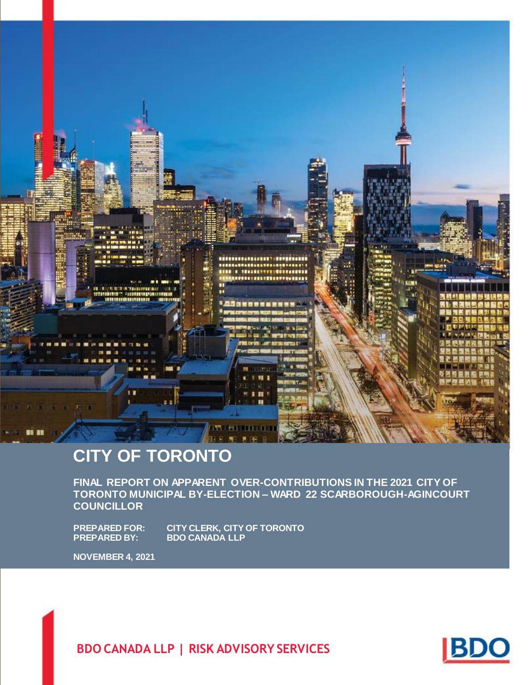

# **CITY OF TORONTO**

**FINAL REPORT ON APPARENT OVER-CONTRIBUTIONS IN THE 2021 CITY OF TORONTO MUNICIPAL BY-ELECTION – WARD 22 SCARBOROUGH-AGINCOURT COUNCILLOR**

**PREPARED FOR: CITY CLERK, CITY OF TORONTO PREPARED BY: BDO CANADA LLP**

**NOVEMBER 4, 2021**

**BDO CANADA LLP | RISK ADVISORY SERVICES**

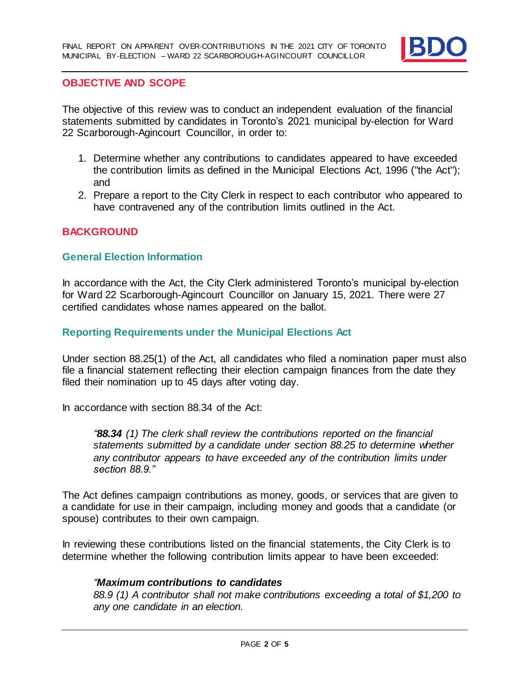

#### **OBJECTIVE AND SCOPE**

The objective of this review was to conduct an independent evaluation of the financial statements submitted by candidates in Toronto's 2021 municipal by-election for Ward 22 Scarborough-Agincourt Councillor, in order to:

- 1. Determine whether any contributions to candidates appeared to have exceeded the contribution limits as defined in the Municipal Elections Act, 1996 ("the Act"); and
- 2. Prepare a report to the City Clerk in respect to each contributor who appeared to have contravened any of the contribution limits outlined in the Act.

# **BACKGROUND**

#### **General Election Information**

In accordance with the Act, the City Clerk administered Toronto's municipal by-election for Ward 22 Scarborough-Agincourt Councillor on January 15, 2021. There were 27 certified candidates whose names appeared on the ballot.

#### **Reporting Requirements under the Municipal Elections Act**

Under section 88.25(1) of the Act, all candidates who filed a nomination paper must also file a financial statement reflecting their election campaign finances from the date they filed their nomination up to 45 days after voting day.

In accordance with section 88.34 of the Act:

*"88.34 (1) The clerk shall review the contributions reported on the financial statements submitted by a candidate under section 88.25 to determine whether any contributor appears to have exceeded any of the contribution limits under section 88.9."*

The Act defines campaign contributions as money, goods, or services that are given to a candidate for use in their campaign, including money and goods that a candidate (or spouse) contributes to their own campaign.

In reviewing these contributions listed on the financial statements, the City Clerk is to determine whether the following contribution limits appear to have been exceeded:

#### *"Maximum contributions to candidates*

*88.9 (1) A contributor shall not make contributions exceeding a total of \$1,200 to any one candidate in an election.*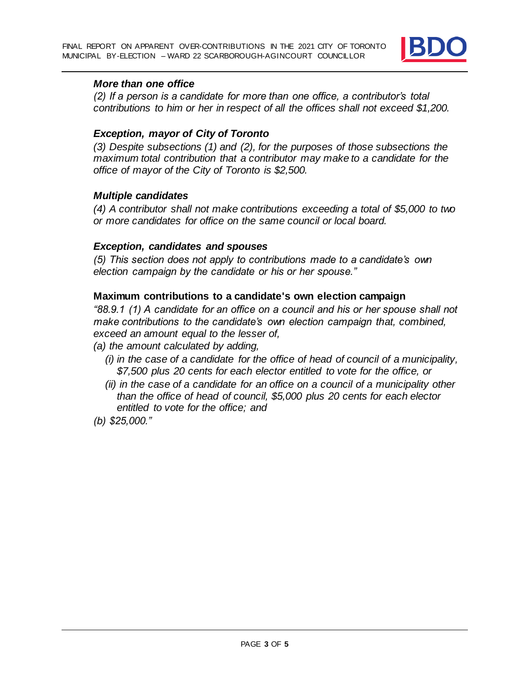

#### *More than one office*

*(2) If a person is a candidate for more than one office, a contributor's total contributions to him or her in respect of all the offices shall not exceed \$1,200.*

# *Exception, mayor of City of Toronto*

*(3) Despite subsections (1) and (2), for the purposes of those subsections the maximum total contribution that a contributor may make to a candidate for the office of mayor of the City of Toronto is \$2,500.*

# *Multiple candidates*

*(4) A contributor shall not make contributions exceeding a total of \$5,000 to two or more candidates for office on the same council or local board.*

#### *Exception, candidates and spouses*

*(5) This section does not apply to contributions made to a candidate's own election campaign by the candidate or his or her spouse."*

# **Maximum contributions to a candidate's own election campaign**

*"88.9.1 (1) A candidate for an office on a council and his or her spouse shall not make contributions to the candidate's own election campaign that, combined, exceed an amount equal to the lesser of,*

- *(a) the amount calculated by adding,*
	- *(i) in the case of a candidate for the office of head of council of a municipality, \$7,500 plus 20 cents for each elector entitled to vote for the office, or*
	- *(ii) in the case of a candidate for an office on a council of a municipality other than the office of head of council, \$5,000 plus 20 cents for each elector entitled to vote for the office; and*

*(b) \$25,000."*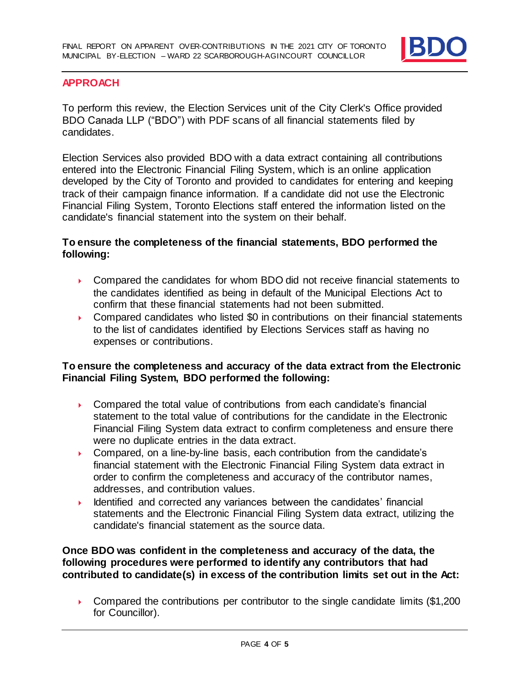

# **APPROACH**

To perform this review, the Election Services unit of the City Clerk's Office provided BDO Canada LLP ("BDO") with PDF scans of all financial statements filed by candidates.

Election Services also provided BDO with a data extract containing all contributions entered into the Electronic Financial Filing System, which is an online application developed by the City of Toronto and provided to candidates for entering and keeping track of their campaign finance information. If a candidate did not use the Electronic Financial Filing System, Toronto Elections staff entered the information listed on the candidate's financial statement into the system on their behalf.

# **To ensure the completeness of the financial statements, BDO performed the following:**

- ▶ Compared the candidates for whom BDO did not receive financial statements to the candidates identified as being in default of the Municipal Elections Act to confirm that these financial statements had not been submitted.
- Compared candidates who listed \$0 in contributions on their financial statements to the list of candidates identified by Elections Services staff as having no expenses or contributions.

# **To ensure the completeness and accuracy of the data extract from the Electronic Financial Filing System, BDO performed the following:**

- ▶ Compared the total value of contributions from each candidate's financial statement to the total value of contributions for the candidate in the Electronic Financial Filing System data extract to confirm completeness and ensure there were no duplicate entries in the data extract.
- ▶ Compared, on a line-by-line basis, each contribution from the candidate's financial statement with the Electronic Financial Filing System data extract in order to confirm the completeness and accuracy of the contributor names, addresses, and contribution values.
- Identified and corrected any variances between the candidates' financial statements and the Electronic Financial Filing System data extract, utilizing the candidate's financial statement as the source data.

**Once BDO was confident in the completeness and accuracy of the data, the following procedures were performed to identify any contributors that had contributed to candidate(s) in excess of the contribution limits set out in the Act:**

**Compared the contributions per contributor to the single candidate limits (\$1,200** for Councillor).